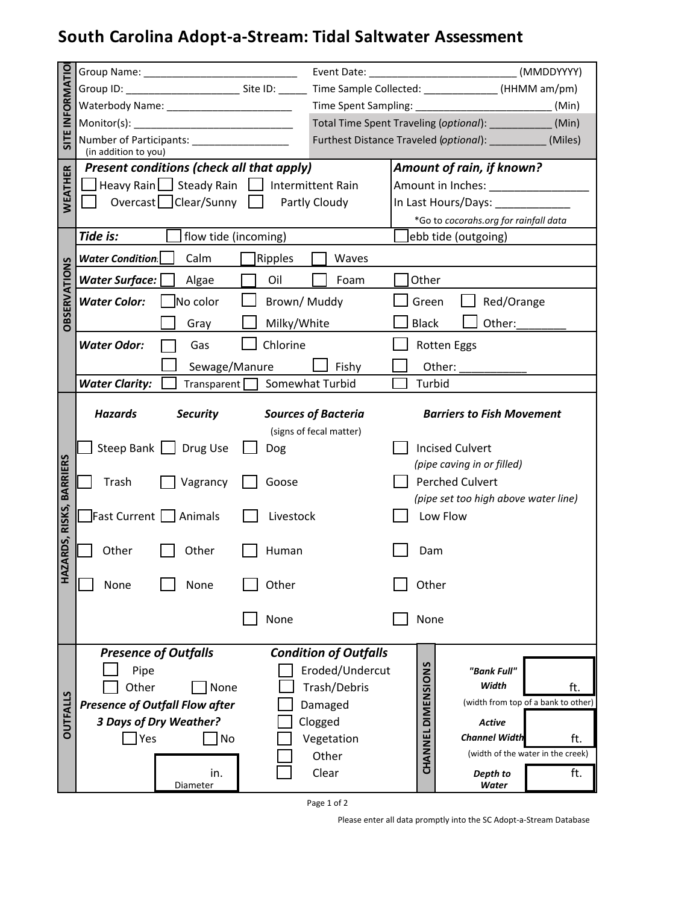## **South Carolina Adopt-a-Stream: Tidal Saltwater Assessment**

| SITE INFORMATIO<br>WEATHER |                                                                                                                   |                                                       |                                                             |                                      |  |
|----------------------------|-------------------------------------------------------------------------------------------------------------------|-------------------------------------------------------|-------------------------------------------------------------|--------------------------------------|--|
|                            | Waterbody Name: ___________________________                                                                       |                                                       | (Min)                                                       |                                      |  |
|                            |                                                                                                                   |                                                       | Total Time Spent Traveling (optional): _____________ (Min)  |                                      |  |
|                            | Number of Participants: _____________________                                                                     |                                                       | Furthest Distance Traveled (optional): ____________ (Miles) |                                      |  |
|                            | (in addition to you)<br>Amount of rain, if known?                                                                 |                                                       |                                                             |                                      |  |
|                            | <b>Present conditions (check all that apply)</b><br>$\Box$ Heavy Rain $\Box$ Steady Rain $\Box$ Intermittent Rain |                                                       | Amount in Inches: ______________                            |                                      |  |
|                            | Overcast   Clear/Sunny                                                                                            | Partly Cloudy                                         | In Last Hours/Days:                                         |                                      |  |
|                            |                                                                                                                   |                                                       | *Go to cocorahs.org for rainfall data                       |                                      |  |
| <b>OBSERVATIONS</b>        | Tide is:<br>flow tide (incoming)                                                                                  |                                                       | ebb tide (outgoing)                                         |                                      |  |
|                            | Calm<br><b>Water Condition</b><br>Ripples                                                                         | Waves                                                 |                                                             |                                      |  |
|                            | <b>Water Surface:</b><br>Algae<br>Oil                                                                             | Foam                                                  | Other                                                       |                                      |  |
|                            | No color<br><b>Water Color:</b><br>Brown/Muddy                                                                    |                                                       | Red/Orange<br>Green                                         |                                      |  |
|                            |                                                                                                                   |                                                       | <b>Black</b><br>Other:                                      |                                      |  |
|                            | Milky/White<br>Gray<br>Chlorine                                                                                   |                                                       |                                                             |                                      |  |
|                            | <b>Water Odor:</b><br>Gas                                                                                         |                                                       | <b>Rotten Eggs</b>                                          |                                      |  |
|                            | Sewage/Manure                                                                                                     | Fishy                                                 | Other:                                                      |                                      |  |
|                            | <b>Water Clarity:</b><br>Transparent   Somewhat Turbid                                                            |                                                       | Turbid                                                      |                                      |  |
|                            | <b>Hazards</b><br><b>Security</b>                                                                                 | <b>Sources of Bacteria</b><br>(signs of fecal matter) | <b>Barriers to Fish Movement</b>                            |                                      |  |
|                            | Steep Bank     Drug Use<br>Dog                                                                                    |                                                       | <b>Incised Culvert</b>                                      |                                      |  |
| RISKS, BARRIERS            |                                                                                                                   | (pipe caving in or filled)                            |                                                             |                                      |  |
|                            | Trash<br>Vagrancy<br>Goose                                                                                        |                                                       | <b>Perched Culvert</b>                                      |                                      |  |
|                            |                                                                                                                   |                                                       |                                                             | (pipe set too high above water line) |  |
|                            | <b>Fast Current   Animals</b><br>Livestock                                                                        |                                                       | Low Flow                                                    |                                      |  |
| ZARDS,<br>E                | Other<br>Other<br>Human                                                                                           |                                                       | Dam                                                         |                                      |  |
|                            | Other<br>None<br>None                                                                                             |                                                       | Other                                                       |                                      |  |
|                            | None                                                                                                              |                                                       | None                                                        |                                      |  |
|                            | <b>Presence of Outfalls</b>                                                                                       | <b>Condition of Outfalls</b>                          |                                                             |                                      |  |
|                            | Pipe                                                                                                              | Eroded/Undercut                                       | "Bank Full"                                                 |                                      |  |
|                            | Other<br>None                                                                                                     | Trash/Debris                                          | Width                                                       | ft.                                  |  |
| <b>OUTFALLS</b>            | <b>Presence of Outfall Flow after</b>                                                                             | Damaged                                               |                                                             | (width from top of a bank to other)  |  |
|                            | 3 Days of Dry Weather?                                                                                            | Clogged                                               | <b>Active</b>                                               |                                      |  |
|                            | Yes<br>No                                                                                                         | Vegetation                                            | <b>Channel Width</b>                                        | ft.                                  |  |
|                            |                                                                                                                   | Other                                                 | <b>CHANNEL DIMENSIONS</b>                                   | (width of the water in the creek)    |  |
|                            | in.<br>Diameter                                                                                                   | Clear                                                 | Depth to<br>Water                                           | ft.                                  |  |

Page 1 of 2

Please enter all data promptly into the SC Adopt-a-Stream Database